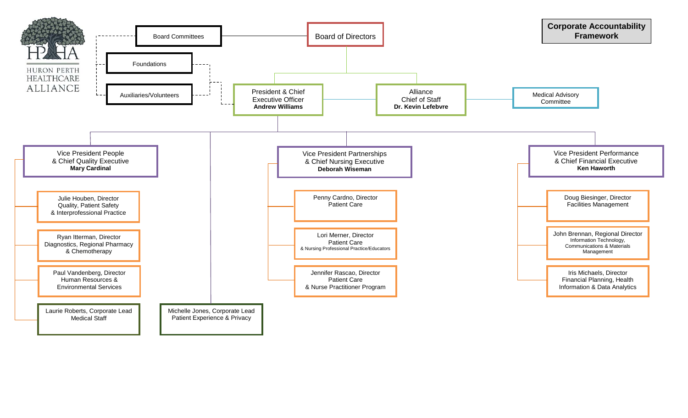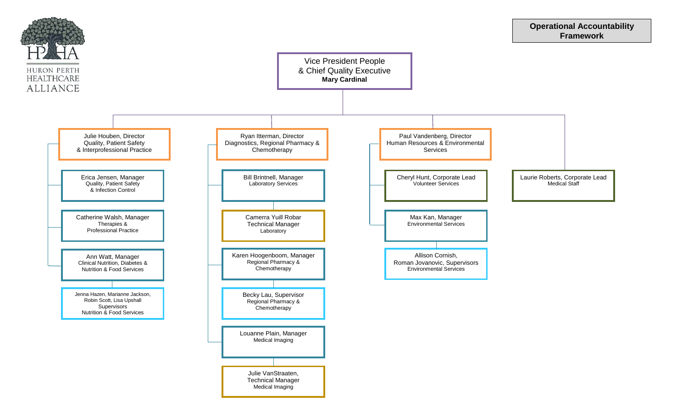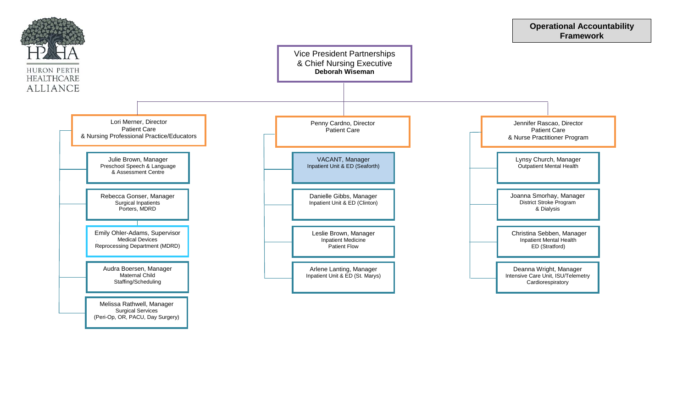